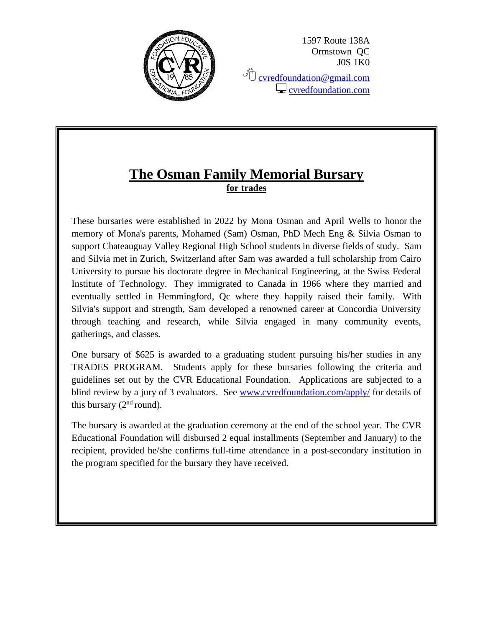

1597 Route 138A Ormstown QC J0S 1K0

<sup></sub><sup></sub> [cvredfoundation@gmail.com](mailto:cvredfoundation@gmail.com)</sup></sup>  $\Box$  [cvredfoundation.com](http://www.cvredfoundation.com/)

## **The Osman Family Memorial Bursary for trades**

These bursaries were established in 2022 by Mona Osman and April Wells to honor the memory of Mona's parents, Mohamed (Sam) Osman, PhD Mech Eng & Silvia Osman to support Chateauguay Valley Regional High School students in diverse fields of study. Sam and Silvia met in Zurich, Switzerland after Sam was awarded a full scholarship from Cairo University to pursue his doctorate degree in Mechanical Engineering, at the Swiss Federal Institute of Technology. They immigrated to Canada in 1966 where they married and eventually settled in Hemmingford, Qc where they happily raised their family. With Silvia's support and strength, Sam developed a renowned career at Concordia University through teaching and research, while Silvia engaged in many community events, gatherings, and classes.

One bursary of \$625 is awarded to a graduating student pursuing his/her studies in any TRADES PROGRAM. Students apply for these bursaries following the criteria and guidelines set out by the CVR Educational Foundation. Applications are subjected to a blind review by a jury of 3 evaluators. See [www.cvredfoundation.com/apply/](http://www.cvredfoundation.com/apply/) for details of this bursary  $(2<sup>nd</sup>$  round).

The bursary is awarded at the graduation ceremony at the end of the school year. The CVR Educational Foundation will disbursed 2 equal installments (September and January) to the recipient, provided he/she confirms full-time attendance in a post-secondary institution in the program specified for the bursary they have received.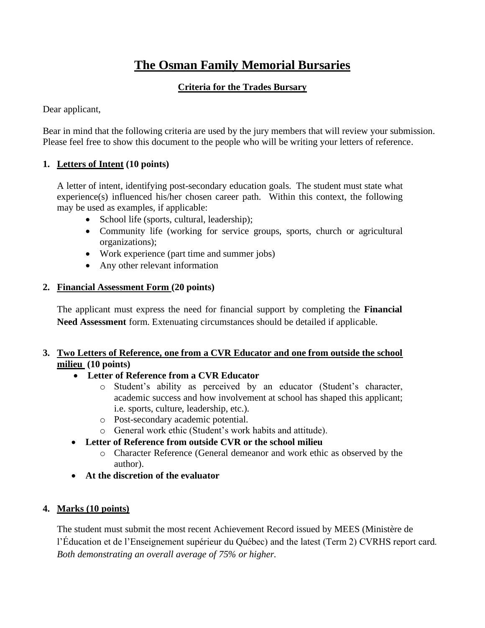# **The Osman Family Memorial Bursaries**

#### **Criteria for the Trades Bursary**

Dear applicant,

Bear in mind that the following criteria are used by the jury members that will review your submission. Please feel free to show this document to the people who will be writing your letters of reference.

#### **1. Letters of Intent (10 points)**

A letter of intent, identifying post-secondary education goals. The student must state what experience(s) influenced his/her chosen career path. Within this context, the following may be used as examples, if applicable:

- School life (sports, cultural, leadership);
- Community life (working for service groups, sports, church or agricultural organizations);
- Work experience (part time and summer jobs)
- Any other relevant information

#### **2. Financial Assessment Form (20 points)**

The applicant must express the need for financial support by completing the **Financial Need Assessment** form. Extenuating circumstances should be detailed if applicable.

#### **3. Two Letters of Reference, one from a CVR Educator and one from outside the school milieu (10 points)**

#### • **Letter of Reference from a CVR Educator**

- o Student's ability as perceived by an educator (Student's character, academic success and how involvement at school has shaped this applicant; i.e. sports, culture, leadership, etc.).
- o Post-secondary academic potential.
- o General work ethic (Student's work habits and attitude).

#### • **Letter of Reference from outside CVR or the school milieu**

- o Character Reference (General demeanor and work ethic as observed by the author).
- **At the discretion of the evaluator**

#### **4. Marks (10 points)**

The student must submit the most recent Achievement Record issued by MEES (Ministère de l'Éducation et de l'Enseignement supérieur du Québec) and the latest (Term 2) CVRHS report card. *Both demonstrating an overall average of 75% or higher.*